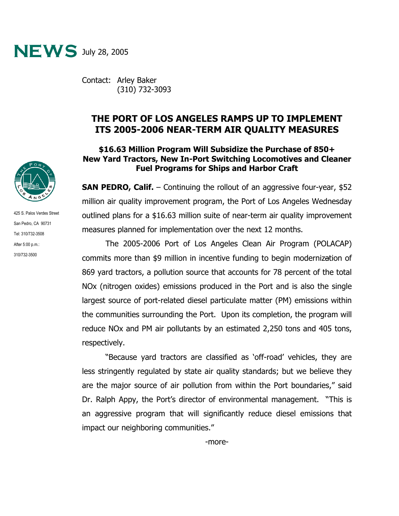

Contact: Arley Baker (310) 732-3093

## **THE PORT OF LOS ANGELES RAMPS UP TO IMPLEMENT ITS 2005-2006 NEAR-TERM AIR QUALITY MEASURES**

## **\$16.63 Million Program Will Subsidize the Purchase of 850+ New Yard Tractors, New In-Port Switching Locomotives and Cleaner Fuel Programs for Ships and Harbor Craft**

**SAN PEDRO, Calif.** – Continuing the rollout of an aggressive four-year, \$52 million air quality improvement program, the Port of Los Angeles Wednesday outlined plans for a \$16.63 million suite of near-term air quality improvement measures planned for implementation over the next 12 months.

The 2005-2006 Port of Los Angeles Clean Air Program (POLACAP) commits more than \$9 million in incentive funding to begin modernization of 869 yard tractors, a pollution source that accounts for 78 percent of the total NOx (nitrogen oxides) emissions produced in the Port and is also the single largest source of port-related diesel particulate matter (PM) emissions within the communities surrounding the Port. Upon its completion, the program will reduce NOx and PM air pollutants by an estimated 2,250 tons and 405 tons, respectively.

"Because yard tractors are classified as 'off-road' vehicles, they are less stringently regulated by state air quality standards; but we believe they are the major source of air pollution from within the Port boundaries," said Dr. Ralph Appy, the Port's director of environmental management. "This is an aggressive program that will significantly reduce diesel emissions that impact our neighboring communities."



425 S. Palos Verdes Street San Pedro, CA 90731 Tel: 310/732-3508 After 5:00 p.m.: 310/732-3500

-more-